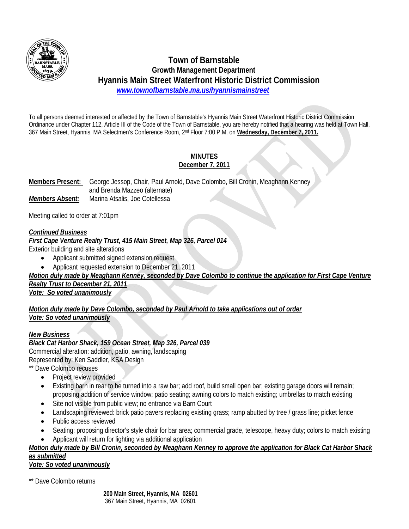

# **Town of Barnstable Growth Management Department Hyannis Main Street Waterfront Historic District Commission**   *www.townofbarnstable.ma.us/hyannismainstreet*

To all persons deemed interested or affected by the Town of Barnstable's Hyannis Main Street Waterfront Historic District Commission Ordinance under Chapter 112, Article III of the Code of the Town of Barnstable, you are hereby notified that a hearing was held at Town Hall, 367 Main Street, Hyannis, MA Selectmen's Conference Room, 2nd Floor 7:00 P.M. on **Wednesday, December 7, 2011.** 

#### **MINUTES December 7, 2011**

**Members Present:** George Jessop, Chair, Paul Arnold, Dave Colombo, Bill Cronin, Meaghann Kenney and Brenda Mazzeo (alternate) *Members Absent:*Marina Atsalis, Joe Cotellessa

Meeting called to order at 7:01pm

## *Continued Business*

*First Cape Venture Realty Trust, 415 Main Street, Map 326, Parcel 014* 

Exterior building and site alterations

- Applicant submitted signed extension request
- Applicant requested extension to December 21, 2011

*Motion duly made by Meaghann Kenney, seconded by Dave Colombo to continue the application for First Cape Venture Realty Trust to December 21, 2011* 

*Vote: So voted unanimously* 

*Motion duly made by Dave Colombo, seconded by Paul Arnold to take applications out of order Vote: So voted unanimously* 

#### *New Business*

*Black Cat Harbor Shack, 159 Ocean Street, Map 326, Parcel 039*  Commercial alteration: addition, patio, awning, landscaping Represented by: Ken Saddler, KSA Design

\*\* Dave Colombo recuses

- Project review provided
- Existing barn in rear to be turned into a raw bar; add roof, build small open bar; existing garage doors will remain; proposing addition of service window; patio seating; awning colors to match existing; umbrellas to match existing
- Site not visible from public view; no entrance via Barn Court
- Landscaping reviewed: brick patio pavers replacing existing grass; ramp abutted by tree / grass line; picket fence
- Public access reviewed
- Seating: proposing director's style chair for bar area; commercial grade, telescope, heavy duty; colors to match existing
- Applicant will return for lighting via additional application

## *Motion duly made by Bill Cronin, seconded by Meaghann Kenney to approve the application for Black Cat Harbor Shack as submitted*

*Vote: So voted unanimously* 

\*\* Dave Colombo returns